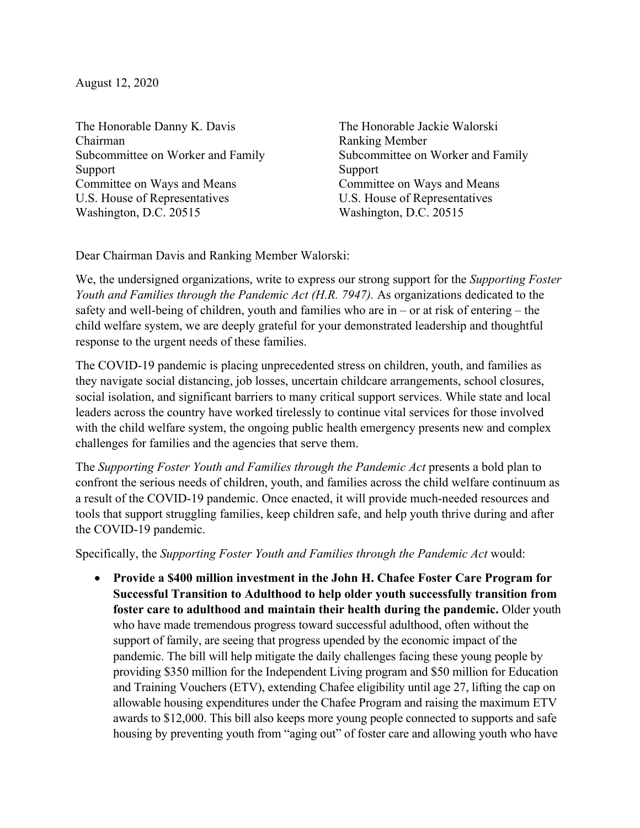August 12, 2020

The Honorable Danny K. Davis Chairman Subcommittee on Worker and Family Support Committee on Ways and Means U.S. House of Representatives Washington, D.C. 20515

The Honorable Jackie Walorski Ranking Member Subcommittee on Worker and Family Support Committee on Ways and Means U.S. House of Representatives Washington, D.C. 20515

Dear Chairman Davis and Ranking Member Walorski:

We, the undersigned organizations, write to express our strong support for the *Supporting Foster Youth and Families through the Pandemic Act (H.R. 7947).* As organizations dedicated to the safety and well-being of children, youth and families who are in – or at risk of entering – the child welfare system, we are deeply grateful for your demonstrated leadership and thoughtful response to the urgent needs of these families.

The COVID-19 pandemic is placing unprecedented stress on children, youth, and families as they navigate social distancing, job losses, uncertain childcare arrangements, school closures, social isolation, and significant barriers to many critical support services. While state and local leaders across the country have worked tirelessly to continue vital services for those involved with the child welfare system, the ongoing public health emergency presents new and complex challenges for families and the agencies that serve them.

The *Supporting Foster Youth and Families through the Pandemic Act* presents a bold plan to confront the serious needs of children, youth, and families across the child welfare continuum as a result of the COVID-19 pandemic. Once enacted, it will provide much-needed resources and tools that support struggling families, keep children safe, and help youth thrive during and after the COVID-19 pandemic.

Specifically, the *Supporting Foster Youth and Families through the Pandemic Act* would:

• **Provide a \$400 million investment in the John H. Chafee Foster Care Program for Successful Transition to Adulthood to help older youth successfully transition from foster care to adulthood and maintain their health during the pandemic.** Older youth who have made tremendous progress toward successful adulthood, often without the support of family, are seeing that progress upended by the economic impact of the pandemic. The bill will help mitigate the daily challenges facing these young people by providing \$350 million for the Independent Living program and \$50 million for Education and Training Vouchers (ETV), extending Chafee eligibility until age 27, lifting the cap on allowable housing expenditures under the Chafee Program and raising the maximum ETV awards to \$12,000. This bill also keeps more young people connected to supports and safe housing by preventing youth from "aging out" of foster care and allowing youth who have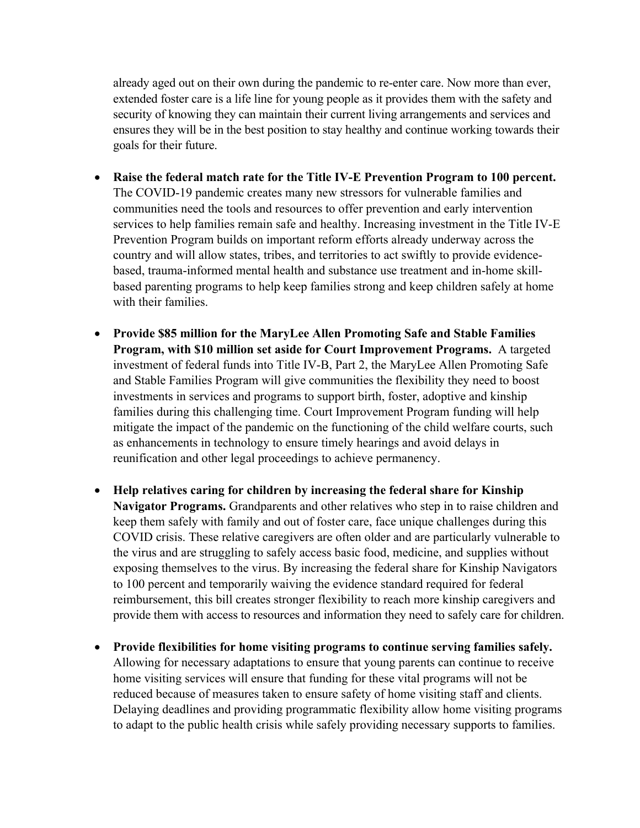already aged out on their own during the pandemic to re-enter care. Now more than ever, extended foster care is a life line for young people as it provides them with the safety and security of knowing they can maintain their current living arrangements and services and ensures they will be in the best position to stay healthy and continue working towards their goals for their future.

- **Raise the federal match rate for the Title IV-E Prevention Program to 100 percent.** The COVID-19 pandemic creates many new stressors for vulnerable families and communities need the tools and resources to offer prevention and early intervention services to help families remain safe and healthy. Increasing investment in the Title IV-E Prevention Program builds on important reform efforts already underway across the country and will allow states, tribes, and territories to act swiftly to provide evidencebased, trauma-informed mental health and substance use treatment and in-home skillbased parenting programs to help keep families strong and keep children safely at home with their families
- **Provide \$85 million for the MaryLee Allen Promoting Safe and Stable Families Program, with \$10 million set aside for Court Improvement Programs.** A targeted investment of federal funds into Title IV-B, Part 2, the MaryLee Allen Promoting Safe and Stable Families Program will give communities the flexibility they need to boost investments in services and programs to support birth, foster, adoptive and kinship families during this challenging time. Court Improvement Program funding will help mitigate the impact of the pandemic on the functioning of the child welfare courts, such as enhancements in technology to ensure timely hearings and avoid delays in reunification and other legal proceedings to achieve permanency.
- **Help relatives caring for children by increasing the federal share for Kinship Navigator Programs.** Grandparents and other relatives who step in to raise children and keep them safely with family and out of foster care, face unique challenges during this COVID crisis. These relative caregivers are often older and are particularly vulnerable to the virus and are struggling to safely access basic food, medicine, and supplies without exposing themselves to the virus. By increasing the federal share for Kinship Navigators to 100 percent and temporarily waiving the evidence standard required for federal reimbursement, this bill creates stronger flexibility to reach more kinship caregivers and provide them with access to resources and information they need to safely care for children.
- **Provide flexibilities for home visiting programs to continue serving families safely.** Allowing for necessary adaptations to ensure that young parents can continue to receive home visiting services will ensure that funding for these vital programs will not be reduced because of measures taken to ensure safety of home visiting staff and clients. Delaying deadlines and providing programmatic flexibility allow home visiting programs to adapt to the public health crisis while safely providing necessary supports to families.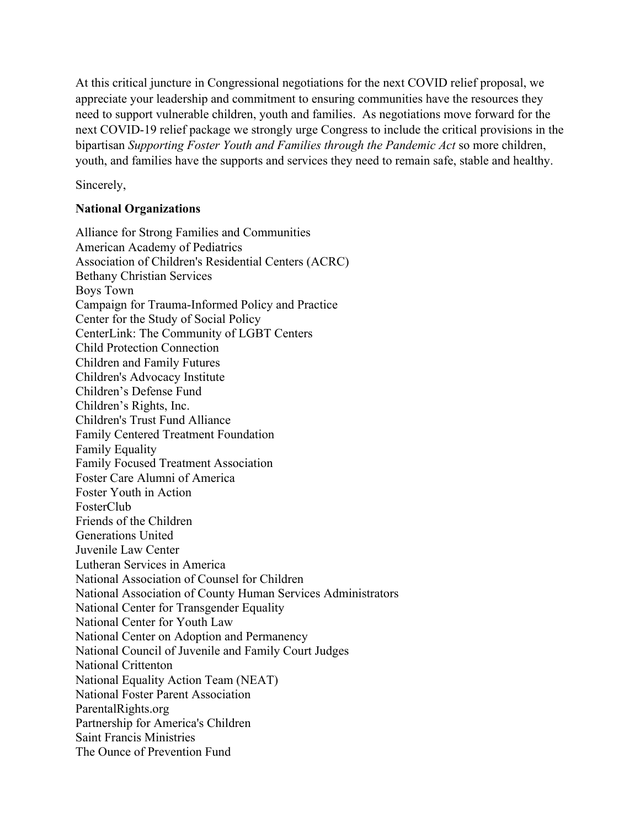At this critical juncture in Congressional negotiations for the next COVID relief proposal, we appreciate your leadership and commitment to ensuring communities have the resources they need to support vulnerable children, youth and families. As negotiations move forward for the next COVID-19 relief package we strongly urge Congress to include the critical provisions in the bipartisan *Supporting Foster Youth and Families through the Pandemic Act* so more children, youth, and families have the supports and services they need to remain safe, stable and healthy.

Sincerely,

## **National Organizations**

Alliance for Strong Families and Communities American Academy of Pediatrics Association of Children's Residential Centers (ACRC) Bethany Christian Services Boys Town Campaign for Trauma-Informed Policy and Practice Center for the Study of Social Policy CenterLink: The Community of LGBT Centers Child Protection Connection Children and Family Futures Children's Advocacy Institute Children's Defense Fund Children's Rights, Inc. Children's Trust Fund Alliance Family Centered Treatment Foundation Family Equality Family Focused Treatment Association Foster Care Alumni of America Foster Youth in Action FosterClub Friends of the Children Generations United Juvenile Law Center Lutheran Services in America National Association of Counsel for Children National Association of County Human Services Administrators National Center for Transgender Equality National Center for Youth Law National Center on Adoption and Permanency National Council of Juvenile and Family Court Judges National Crittenton National Equality Action Team (NEAT) National Foster Parent Association ParentalRights.org Partnership for America's Children Saint Francis Ministries The Ounce of Prevention Fund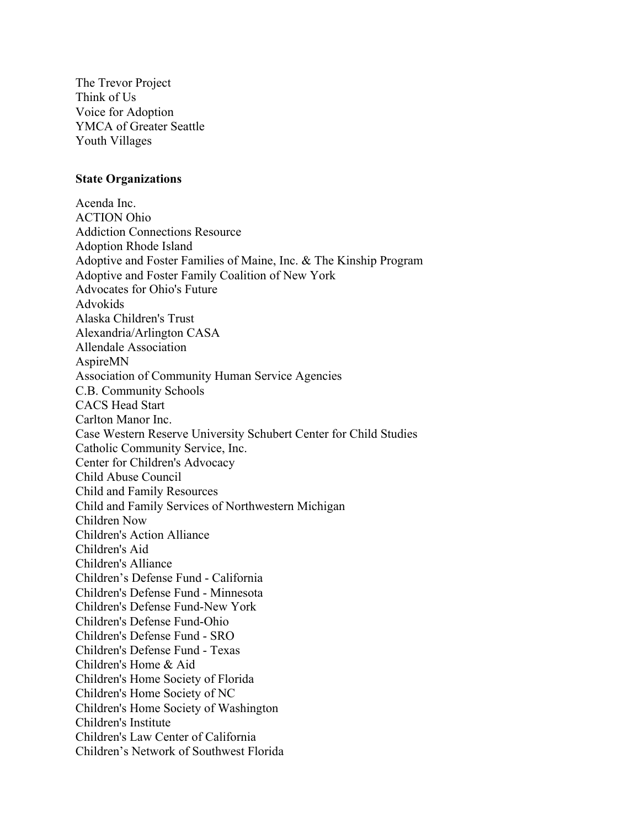The Trevor Project Think of Us Voice for Adoption YMCA of Greater Seattle Youth Villages

## **State Organizations**

Acenda Inc. ACTION Ohio Addiction Connections Resource Adoption Rhode Island Adoptive and Foster Families of Maine, Inc. & The Kinship Program Adoptive and Foster Family Coalition of New York Advocates for Ohio's Future Advokids Alaska Children's Trust Alexandria/Arlington CASA Allendale Association AspireMN Association of Community Human Service Agencies C.B. Community Schools CACS Head Start Carlton Manor Inc. Case Western Reserve University Schubert Center for Child Studies Catholic Community Service, Inc. Center for Children's Advocacy Child Abuse Council Child and Family Resources Child and Family Services of Northwestern Michigan Children Now Children's Action Alliance Children's Aid Children's Alliance Children's Defense Fund - California Children's Defense Fund - Minnesota Children's Defense Fund-New York Children's Defense Fund-Ohio Children's Defense Fund - SRO Children's Defense Fund - Texas Children's Home & Aid Children's Home Society of Florida Children's Home Society of NC Children's Home Society of Washington Children's Institute Children's Law Center of California Children's Network of Southwest Florida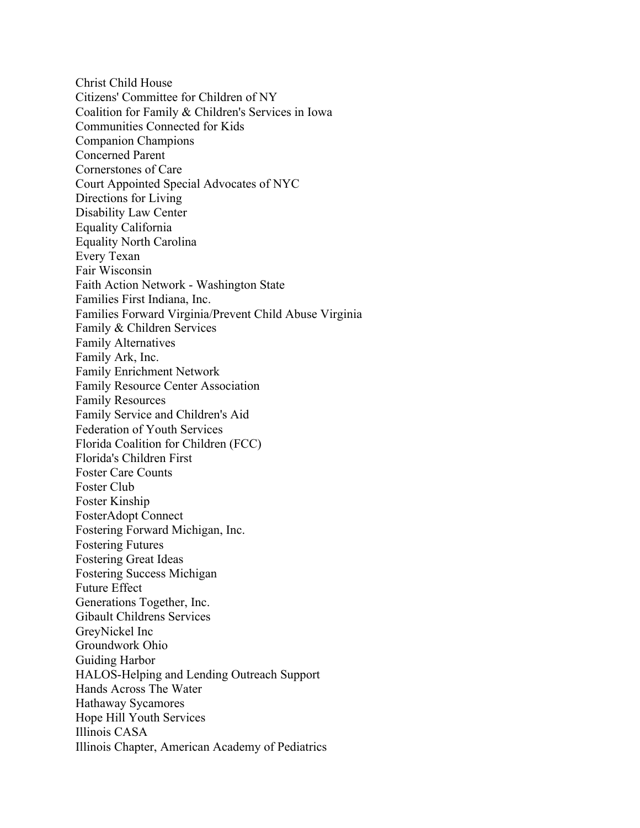Christ Child House Citizens' Committee for Children of NY Coalition for Family & Children's Services in Iowa Communities Connected for Kids Companion Champions Concerned Parent Cornerstones of Care Court Appointed Special Advocates of NYC Directions for Living Disability Law Center Equality California Equality North Carolina Every Texan Fair Wisconsin Faith Action Network - Washington State Families First Indiana, Inc. Families Forward Virginia/Prevent Child Abuse Virginia Family & Children Services Family Alternatives Family Ark, Inc. Family Enrichment Network Family Resource Center Association Family Resources Family Service and Children's Aid Federation of Youth Services Florida Coalition for Children (FCC) Florida's Children First Foster Care Counts Foster Club Foster Kinship FosterAdopt Connect Fostering Forward Michigan, Inc. Fostering Futures Fostering Great Ideas Fostering Success Michigan Future Effect Generations Together, Inc. Gibault Childrens Services GreyNickel Inc Groundwork Ohio Guiding Harbor HALOS-Helping and Lending Outreach Support Hands Across The Water Hathaway Sycamores Hope Hill Youth Services Illinois CASA Illinois Chapter, American Academy of Pediatrics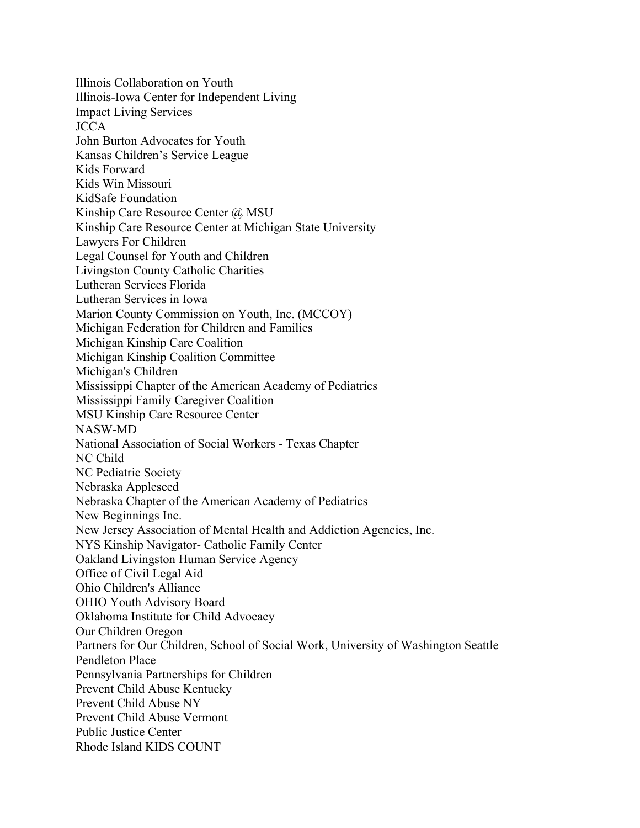Illinois Collaboration on Youth Illinois-Iowa Center for Independent Living Impact Living Services JCCA John Burton Advocates for Youth Kansas Children's Service League Kids Forward Kids Win Missouri KidSafe Foundation Kinship Care Resource Center @ MSU Kinship Care Resource Center at Michigan State University Lawyers For Children Legal Counsel for Youth and Children Livingston County Catholic Charities Lutheran Services Florida Lutheran Services in Iowa Marion County Commission on Youth, Inc. (MCCOY) Michigan Federation for Children and Families Michigan Kinship Care Coalition Michigan Kinship Coalition Committee Michigan's Children Mississippi Chapter of the American Academy of Pediatrics Mississippi Family Caregiver Coalition MSU Kinship Care Resource Center NASW-MD National Association of Social Workers - Texas Chapter NC Child NC Pediatric Society Nebraska Appleseed Nebraska Chapter of the American Academy of Pediatrics New Beginnings Inc. New Jersey Association of Mental Health and Addiction Agencies, Inc. NYS Kinship Navigator- Catholic Family Center Oakland Livingston Human Service Agency Office of Civil Legal Aid Ohio Children's Alliance OHIO Youth Advisory Board Oklahoma Institute for Child Advocacy Our Children Oregon Partners for Our Children, School of Social Work, University of Washington Seattle Pendleton Place Pennsylvania Partnerships for Children Prevent Child Abuse Kentucky Prevent Child Abuse NY Prevent Child Abuse Vermont Public Justice Center Rhode Island KIDS COUNT